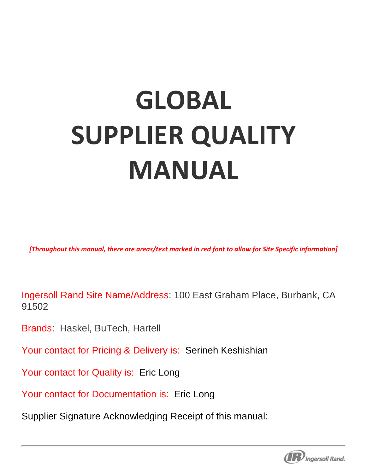# **GLOBAL SUPPLIER QUALITY MANUAL**

*[Throughout this manual, there are areas/text marked in red font to allow for Site Specific information]* 

Ingersoll Rand Site Name/Address: 100 East Graham Place, Burbank, CA 91502

Brands: Haskel, BuTech, Hartell

Your contact for Pricing & Delivery is: Serineh Keshishian

Your contact for Quality is: Eric Long

Your contact for Documentation is: Eric Long

\_\_\_\_\_\_\_\_\_\_\_\_\_\_\_\_\_\_\_\_\_\_\_\_\_\_\_\_\_\_\_\_\_\_\_

Supplier Signature Acknowledging Receipt of this manual:

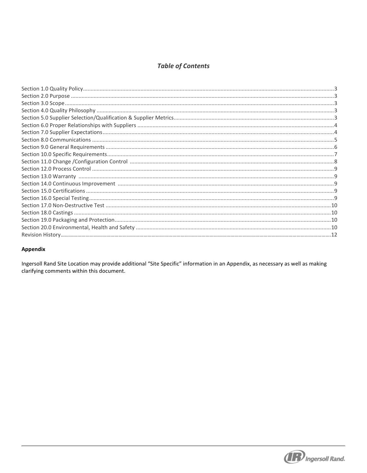# **Table of Contents**

| ي يستنبه العداد العداد العداد العداد العداد العداد العداد العداد العداد العداد العداد العداد العداد العداد ال<br>9. ينظم العداد العداد العداد العداد العداد العداد العداد العداد العداد العداد العداد العداد العداد العداد العد<br> |  |
|-------------------------------------------------------------------------------------------------------------------------------------------------------------------------------------------------------------------------------------|--|
|                                                                                                                                                                                                                                     |  |
|                                                                                                                                                                                                                                     |  |
|                                                                                                                                                                                                                                     |  |
|                                                                                                                                                                                                                                     |  |
|                                                                                                                                                                                                                                     |  |
|                                                                                                                                                                                                                                     |  |
|                                                                                                                                                                                                                                     |  |
|                                                                                                                                                                                                                                     |  |

## Appendix

Ingersoll Rand Site Location may provide additional "Site Specific" information in an Appendix, as necessary as well as making clarifying comments within this document.

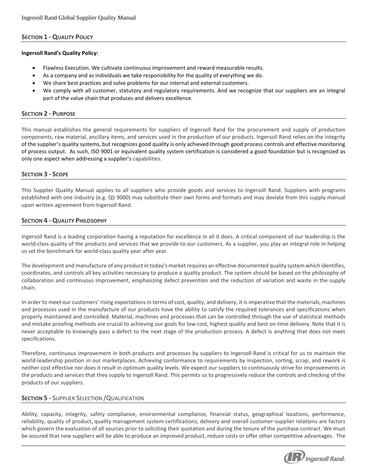## **SECTION 1 - QUALITY POLICY**

## **Ingersoll Rand's Quality Policy:**

- Flawless Execution. We cultivate continuous improvement and reward measurable results.
- As a company and as individuals we take responsibility for the quality of everything we do.
- We share best practices and solve problems for our internal and external customers.
- We comply with all customer, statutory and regulatory requirements. And we recognize that our suppliers are an integral part of the value chain that produces and delivers excellence.

## **SECTION 2 - PURPOSE**

This manual establishes the general requirements for suppliers of Ingersoll Rand for the procurement and supply of production components, raw material, ancillary items, and services used in the production of our products. Ingersoll Rand relies on the integrity of the supplier's quality systems, but recognizes good quality is only achieved through good process controls and effective monitoring of process output. As such, ISO 9001 or equivalent quality system certification is considered a good foundation but is recognized as only one aspect when addressing a supplier's capabilities.

## **SECTION 3 - SCOPE**

This Supplier Quality Manual applies to all suppliers who provide goods and services to Ingersoll Rand. Suppliers with programs established with one industry (e.g. QS 9000) may substitute their own forms and formats and may deviate from this supply manual upon written agreement from Ingersoll Rand.

## **SECTION 4 - QUALITY PHILOSOPHY**

Ingersoll Rand is a leading corporation having a reputation for excellence in all it does. A critical component of our leadership is the world-class quality of the products and services that we provide to our customers. As a supplier, you play an integral role in helping us set the benchmark for world-class quality year after year.

The development and manufacture of any product in today's market requires an effective documented quality system which identifies, coordinates, and controls all key activities necessary to produce a quality product. The system should be based on the philosophy of collaboration and continuous improvement, emphasizing defect prevention and the reduction of variation and waste in the supply chain.

In order to meet our customers' rising expectations in terms of cost, quality, and delivery, it is imperative that the materials, machines and processes used in the manufacture of our products have the ability to satisfy the required tolerances and specifications when properly maintained and controlled. Material, machines and processes that can be controlled through the use of statistical methods and mistake proofing methods are crucial to achieving our goals for low cost, highest quality and best on-time delivery. Note that it is never acceptable to knowingly pass a defect to the next stage of the production process. A defect is anything that does not meet specifications.

Therefore, continuous improvement in both products and processes by suppliers to Ingersoll Rand is critical for us to maintain the world-leadership position in our marketplaces. Achieving conformance to requirements by inspection, sorting, scrap, and rework is neither cost effective nor does it result in optimum quality levels. We expect our suppliers to continuously strive for improvements in the products and services that they supply to Ingersoll Rand. This permits us to progressively reduce the controls and checking of the products of our suppliers.

## **SECTION 5 -** SUPPLIER SELECTION /QUALIFICATION

Ability, capacity, integrity, safety compliance, environmental compliance, financial status, geographical locations, performance, reliability, quality of product, quality management system certifications, delivery and overall customer-supplier relations are factors which govern the evaluation of all sources prior to soliciting their quotation and during the tenure of the purchase contract. We must be assured that new suppliers will be able to produce an improved product, reduce costs or offer other competitive advantages. The

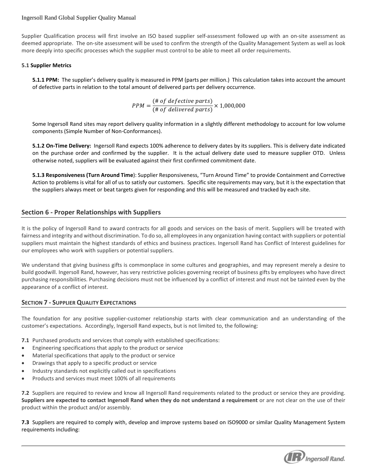Supplier Qualification process will first involve an ISO based supplier self-assessment followed up with an on-site assessment as deemed appropriate. The on-site assessment will be used to confirm the strength of the Quality Management System as well as look more deeply into specific processes which the supplier must control to be able to meet all order requirements.

## **5.1 Supplier Metrics**

**5.1.1 PPM:** The supplier's delivery quality is measured in PPM (parts per million.) This calculation takes into account the amount of defective parts in relation to the total amount of delivered parts per delivery occurrence.

$$
PPM = \frac{(\# of defective parts)}{(\# of delivered parts)} \times 1,000,000
$$

Some Ingersoll Rand sites may report delivery quality information in a slightly different methodology to account for low volume components (Simple Number of Non-Conformances).

**5.1.2 On-Time Delivery:** Ingersoll Rand expects 100% adherence to delivery dates by its suppliers. This is delivery date indicated on the purchase order and confirmed by the supplier. It is the actual delivery date used to measure supplier OTD. Unless otherwise noted, suppliers will be evaluated against their first confirmed commitment date.

**5.1.3 Responsiveness (Turn Around Time**): Supplier Responsiveness, "Turn Around Time" to provide Containment and Corrective Action to problems is vital for all of us to satisfy our customers. Specific site requirements may vary, but it is the expectation that the suppliers always meet or beat targets given for responding and this will be measured and tracked by each site.

## **Section 6 - Proper Relationships with Suppliers**

It is the policy of Ingersoll Rand to award contracts for all goods and services on the basis of merit. Suppliers will be treated with fairness and integrity and without discrimination. To do so, all employees in any organization having contact with suppliers or potential suppliers must maintain the highest standards of ethics and business practices. Ingersoll Rand has Conflict of Interest guidelines for our employees who work with suppliers or potential suppliers.

We understand that giving business gifts is commonplace in some cultures and geographies, and may represent merely a desire to build goodwill. Ingersoll Rand, however, has very restrictive policies governing receipt of business gifts by employees who have direct purchasing responsibilities. Purchasing decisions must not be influenced by a conflict of interest and must not be tainted even by the appearance of a conflict of interest.

## **SECTION 7 - SUPPLIER QUALITY EXPECTATIONS**

The foundation for any positive supplier-customer relationship starts with clear communication and an understanding of the customer's expectations. Accordingly, Ingersoll Rand expects, but is not limited to, the following:

**7.1** Purchased products and services that comply with established specifications:

- Engineering specifications that apply to the product or service
- Material specifications that apply to the product or service
- Drawings that apply to a specific product or service
- Industry standards not explicitly called out in specifications
- Products and services must meet 100% of all requirements

**7.2** Suppliers are required to review and know all Ingersoll Rand requirements related to the product or service they are providing. **Suppliers are expected to contact Ingersoll Rand when they do not understand a requirement** or are not clear on the use of their product within the product and/or assembly.

**7.3** Suppliers are required to comply with, develop and improve systems based on ISO9000 or similar Quality Management System requirements including:

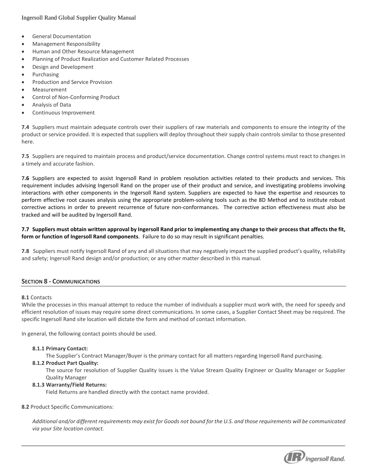- General Documentation
- Management Responsibility
- Human and Other Resource Management
- Planning of Product Realization and Customer Related Processes
- Design and Development
- Purchasing
- Production and Service Provision
- Measurement
- Control of Non-Conforming Product
- Analysis of Data
- Continuous Improvement

**7.4** Suppliers must maintain adequate controls over their suppliers of raw materials and components to ensure the integrity of the product or service provided. It is expected that suppliers will deploy throughout their supply chain controls similar to those presented here.

**7.5** Suppliers are required to maintain process and product/service documentation. Change control systems must react to changes in a timely and accurate fashion.

**7.6** Suppliers are expected to assist Ingersoll Rand in problem resolution activities related to their products and services. This requirement includes advising Ingersoll Rand on the proper use of their product and service, and investigating problems involving interactions with other components in the Ingersoll Rand system. Suppliers are expected to have the expertise and resources to perform effective root causes analysis using the appropriate problem-solving tools such as the 8D Method and to institute robust corrective actions in order to prevent recurrence of future non-conformances. The corrective action effectiveness must also be tracked and will be audited by Ingersoll Rand.

## **7.7 Suppliers must obtain written approval by Ingersoll Rand prior to implementing any change to their process that affects the fit, form or function of Ingersoll Rand components**. Failure to do so may result in significant penalties.

**7.8** Suppliers must notify Ingersoll Rand of any and all situations that may negatively impact the supplied product's quality, reliability and safety; Ingersoll Rand design and/or production; or any other matter described in this manual.

## **SECTION 8 - COMMUNICATIONS**

## **8.1** Contacts

While the processes in this manual attempt to reduce the number of individuals a supplier must work with, the need for speedy and efficient resolution of issues may require some direct communications. In some cases, a Supplier Contact Sheet may be required. The specific Ingersoll Rand site location will dictate the form and method of contact information.

In general, the following contact points should be used.

## **8.1.1 Primary Contact:**

The Supplier's Contract Manager/Buyer is the primary contact for all matters regarding Ingersoll Rand purchasing.

## **8.1.2 Product Part Quality:**

The source for resolution of Supplier Quality issues is the Value Stream Quality Engineer or Quality Manager or Supplier Quality Manager

## **8.1.3 Warranty/Field Returns:**

Field Returns are handled directly with the contact name provided.

## **8.2** Product Specific Communications:

*Additional and/or different requirements may exist for Goods not bound for the U.S. and those requirements will be communicated via your Site location contact.* 

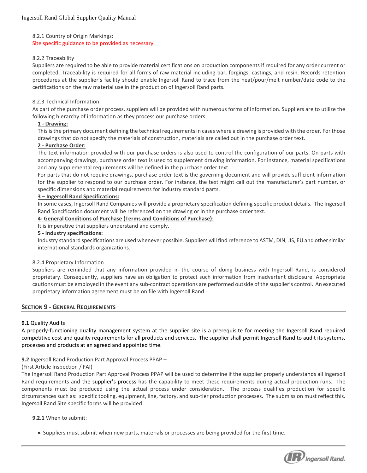#### 8.2.1 Country of Origin Markings:

Site specific guidance to be provided as necessary

## 8.2.2 Traceability

Suppliers are required to be able to provide material certifications on production components if required for any order current or completed. Traceability is required for all forms of raw material including bar, forgings, castings, and resin. Records retention procedures at the supplier's facility should enable Ingersoll Rand to trace from the heat/pour/melt number/date code to the certifications on the raw material use in the production of Ingersoll Rand parts.

#### 8.2.3 Technical Information

As part of the purchase order process, suppliers will be provided with numerous forms of information. Suppliers are to utilize the following hierarchy of information as they process our purchase orders.

#### **1 - Drawing:**

This is the primary document defining the technical requirements in cases where a drawing is provided with the order. For those drawings that do not specify the materials of construction, materials are called out in the purchase order text.

## **2 - Purchase Order:**

The text information provided with our purchase orders is also used to control the configuration of our parts. On parts with accompanying drawings, purchase order text is used to supplement drawing information. For instance, material specifications and any supplemental requirements will be defined in the purchase order text.

For parts that do not require drawings, purchase order text is the governing document and will provide sufficient information for the supplier to respond to our purchase order. For instance, the text might call out the manufacturer's part number, or specific dimensions and material requirements for industry standard parts.

#### **3 – Ingersoll Rand Specifications:**

In some cases, Ingersoll Rand Companies will provide a proprietary specification defining specific product details. The Ingersoll Rand Specification document will be referenced on the drawing or in the purchase order text.

#### **4- General Conditions of Purchase (Terms and Conditions of Purchase)**:

It is imperative that suppliers understand and comply.

#### **5 - Industry specifications:**

Industry standard specifications are used whenever possible. Suppliers will find reference to ASTM, DIN, JIS, EU and other similar international standards organizations.

#### 8.2.4 Proprietary Information

Suppliers are reminded that any information provided in the course of doing business with Ingersoll Rand, is considered proprietary. Consequently, suppliers have an obligation to protect such information from inadvertent disclosure. Appropriate cautions must be employed in the event any sub-contract operations are performed outside of the supplier's control. An executed proprietary information agreement must be on file with Ingersoll Rand.

## **SECTION 9 - GENERAL REQUIREMENTS**

## **9.1** Quality Audits

A properly-functioning quality management system at the supplier site is a prerequisite for meeting the Ingersoll Rand required competitive cost and quality requirements for all products and services. The supplier shall permit Ingersoll Rand to audit its systems, processes and products at an agreed and appointed time.

#### **9.2** Ingersoll Rand Production Part Approval Process PPAP –

#### (First Article Inspection / FAI)

The Ingersoll Rand Production Part Approval Process PPAP will be used to determine if the supplier properly understands all Ingersoll Rand requirements and the supplier's process has the capability to meet these requirements during actual production runs. The components must be produced using the actual process under consideration. The process qualifies production for specific circumstances such as: specific tooling, equipment, line, factory, and sub-tier production processes. The submission must reflect this. Ingersoll Rand Site specific forms will be provided

#### **9.2.1** When to submit:

Suppliers must submit when new parts, materials or processes are being provided for the first time.

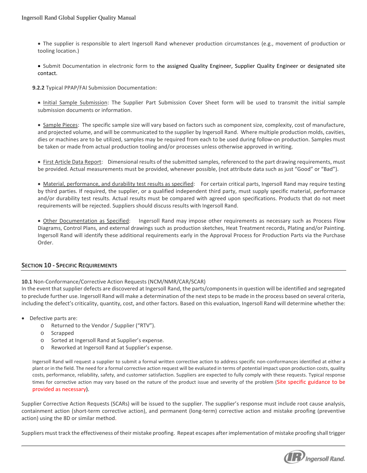- The supplier is responsible to alert Ingersoll Rand whenever production circumstances (e.g., movement of production or tooling location.)
- Submit Documentation in electronic form to [the](mailto:eric.mensah@Milton%20Roy.com) assigned Quality Engineer, Supplier Quality Engineer or designated site contact.
- **9.2.2** Typical PPAP/FAI Submission Documentation:

 Initial Sample Submission: The Supplier Part Submission Cover Sheet form will be used to transmit the initial sample submission documents or information.

• Sample Pieces: The specific sample size will vary based on factors such as component size, complexity, cost of manufacture, and projected volume, and will be communicated to the supplier by Ingersoll Rand. Where multiple production molds, cavities, dies or machines are to be utilized, samples may be required from each to be used during follow-on production. Samples must be taken or made from actual production tooling and/or processes unless otherwise approved in writing.

• First Article Data Report: Dimensional results of the submitted samples, referenced to the part drawing requirements, must be provided. Actual measurements must be provided, whenever possible, (not attribute data such as just "Good" or "Bad").

 Material, performance, and durability test results as specified: For certain critical parts, Ingersoll Rand may require testing by third parties. If required, the supplier, or a qualified independent third party, must supply specific material, performance and/or durability test results. Actual results must be compared with agreed upon specifications. Products that do not meet requirements will be rejected. Suppliers should discuss results with Ingersoll Rand.

 Other Documentation as Specified: Ingersoll Rand may impose other requirements as necessary such as Process Flow Diagrams, Control Plans, and external drawings such as production sketches, Heat Treatment records, Plating and/or Painting. Ingersoll Rand will identify these additional requirements early in the Approval Process for Production Parts via the Purchase Order.

## **SECTION 10 - SPECIFIC REQUIREMENTS**

## **10.1** Non-Conformance/Corrective Action Requests (NCM/NMR/CAR/SCAR)

In the event that supplier defects are discovered at Ingersoll Rand, the parts/components in question will be identified and segregated to preclude further use. Ingersoll Rand will make a determination of the next steps to be made in the process based on several criteria, including the defect's criticality, quantity, cost, and other factors. Based on this evaluation, Ingersoll Rand will determine whether the:

- Defective parts are:
	- o Returned to the Vendor / Supplier ("RTV").
	- o Scrapped
	- o Sorted at Ingersoll Rand at Supplier's expense.
	- o Reworked at Ingersoll Rand at Supplier's expense.

Ingersoll Rand will request a supplier to submit a formal written corrective action to address specific non-conformances identified at either a plant or in the field. The need for a formal corrective action request will be evaluated in terms of potential impact upon production costs, quality costs, performance, reliability, safety, and customer satisfaction. Suppliers are expected to fully comply with these requests. Typical response times for corrective action may vary based on the nature of the product issue and severity of the problem (Site specific guidance to be provided as necessary).

Supplier Corrective Action Requests (SCARs) will be issued to the supplier. The supplier's response must include root cause analysis, containment action (short-term corrective action), and permanent (long-term) corrective action and mistake proofing (preventive action) using the 8D or similar method.

Suppliers must track the effectiveness of their mistake proofing. Repeat escapes after implementation of mistake proofing shall trigger

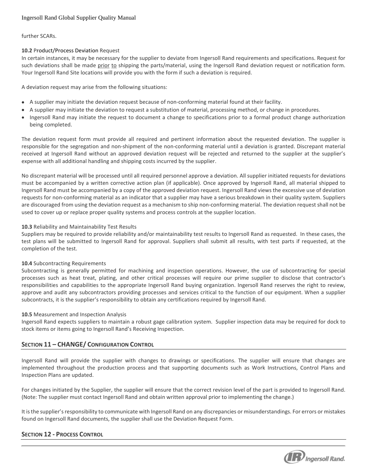## further SCARs.

## **10.2** Product/Process Deviation Request

In certain instances, it may be necessary for the supplier to deviate from Ingersoll Rand requirements and specifications. Request for such deviations shall be made prior to shipping the parts/material, using the Ingersoll Rand deviation request or notification form. Your Ingersoll Rand Site locations will provide you with the form if such a deviation is required.

A deviation request may arise from the following situations:

- A supplier may initiate the deviation request because of non-conforming material found at their facility.
- A supplier may initiate the deviation to request a substitution of material, processing method, or change in procedures.
- Ingersoll Rand may initiate the request to document a change to specifications prior to a formal product change authorization being completed.

The deviation request form must provide all required and pertinent information about the requested deviation. The supplier is responsible for the segregation and non-shipment of the non-conforming material until a deviation is granted. Discrepant material received at Ingersoll Rand without an approved deviation request will be rejected and returned to the supplier at the supplier's expense with all additional handling and shipping costs incurred by the supplier.

No discrepant material will be processed until all required personnel approve a deviation. All supplier initiated requests for deviations must be accompanied by a written corrective action plan (if applicable). Once approved by Ingersoll Rand, all material shipped to Ingersoll Rand must be accompanied by a copy of the approved deviation request. Ingersoll Rand views the excessive use of deviation requests for non-conforming material as an indicator that a supplier may have a serious breakdown in their quality system. Suppliers are discouraged from using the deviation request as a mechanism to ship non-conforming material. The deviation request shall not be used to cover up or replace proper quality systems and process controls at the supplier location.

## **10.3** Reliability and Maintainability Test Results

Suppliers may be required to provide reliability and/or maintainability test results to Ingersoll Rand as requested. In these cases, the test plans will be submitted to Ingersoll Rand for approval. Suppliers shall submit all results, with test parts if requested, at the completion of the test.

## **10.4** Subcontracting Requirements

Subcontracting is generally permitted for machining and inspection operations. However, the use of subcontracting for special processes such as heat treat, plating, and other critical processes will require our prime supplier to disclose that contractor's responsibilities and capabilities to the appropriate Ingersoll Rand buying organization. Ingersoll Rand reserves the right to review, approve and audit any subcontractors providing processes and services critical to the function of our equipment. When a supplier subcontracts, it is the supplier's responsibility to obtain any certifications required by Ingersoll Rand.

## **10.5** Measurement and Inspection Analysis

Ingersoll Rand expects suppliers to maintain a robust gage calibration system. Supplier inspection data may be required for dock to stock items or items going to Ingersoll Rand's Receiving Inspection.

## **SECTION 11 – CHANGE/ CONFIGURATION CONTROL**

Ingersoll Rand will provide the supplier with changes to drawings or specifications. The supplier will ensure that changes are implemented throughout the production process and that supporting documents such as Work Instructions, Control Plans and Inspection Plans are updated.

For changes initiated by the Supplier, the supplier will ensure that the correct revision level of the part is provided to Ingersoll Rand. (Note: The supplier must contact Ingersoll Rand and obtain written approval prior to implementing the change.)

It is the supplier's responsibility to communicate with Ingersoll Rand on any discrepancies or misunderstandings. For errors or mistakes found on Ingersoll Rand documents, the supplier shall use the Deviation Request Form.

## **SECTION 12 - PROCESS CONTROL**

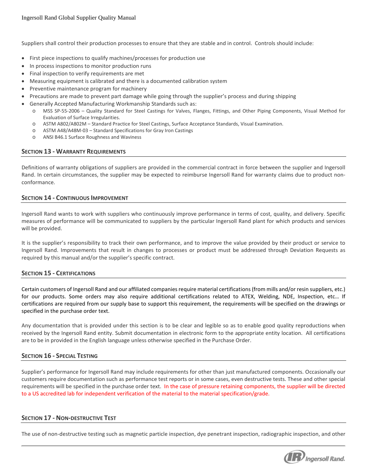Suppliers shall control their production processes to ensure that they are stable and in control. Controls should include:

- First piece inspections to qualify machines/processes for production use
- In process inspections to monitor production runs
- Final inspection to verify requirements are met
- Measuring equipment is calibrated and there is a documented calibration system
- Preventive maintenance program for machinery
- Precautions are made to prevent part damage while going through the supplier's process and during shipping
- Generally Accepted Manufacturing Workmanship Standards such as:
	- o MSS SP-55-2006 Quality Standard for Steel Castings for Valves, Flanges, Fittings, and Other Piping Components, Visual Method for Evaluation of Surface Irregularities.
	- o ASTM A802/A802M Standard Practice for Steel Castings, Surface Acceptance Standards, Visual Examination.
	- o ASTM A48/A48M-03 Standard Specifications for Gray Iron Castings
	- o ANSI B46.1 Surface Roughness and Waviness

## **SECTION 13 - WARRANTY REQUIREMENTS**

Definitions of warranty obligations of suppliers are provided in the commercial contract in force between the supplier and Ingersoll Rand. In certain circumstances, the supplier may be expected to reimburse Ingersoll Rand for warranty claims due to product nonconformance.

## **SECTION 14 - CONTINUOUS IMPROVEMENT**

Ingersoll Rand wants to work with suppliers who continuously improve performance in terms of cost, quality, and delivery. Specific measures of performance will be communicated to suppliers by the particular Ingersoll Rand plant for which products and services will be provided.

It is the supplier's responsibility to track their own performance, and to improve the value provided by their product or service to Ingersoll Rand. Improvements that result in changes to processes or product must be addressed through Deviation Requests as required by this manual and/or the supplier's specific contract.

## **SECTION 15 - CERTIFICATIONS**

Certain customers of Ingersoll Rand and our affiliated companies require material certifications (from mills and/or resin suppliers, etc.) for our products. Some orders may also require additional certifications related to ATEX, Welding, NDE, Inspection, etc… If certifications are required from our supply base to support this requirement, the requirements will be specified on the drawings or specified in the purchase order text.

Any documentation that is provided under this section is to be clear and legible so as to enable good quality reproductions when received by the Ingersoll Rand entity. Submit documentation in electronic form to the appropriate entity location. All certifications are to be in provided in the English language unless otherwise specified in the Purchase Order.

## **SECTION 16 - SPECIAL TESTING**

Supplier's performance for Ingersoll Rand may include requirements for other than just manufactured components. Occasionally our customers require documentation such as performance test reports or in some cases, even destructive tests. These and other special requirements will be specified in the purchase order text. In the case of pressure retaining components, the supplier will be directed to a US accredited lab for independent verification of the material to the material specification/grade.

## **SECTION 17 - NON-DESTRUCTIVE TEST**

The use of non-destructive testing such as magnetic particle inspection, dye penetrant inspection, radiographic inspection, and other

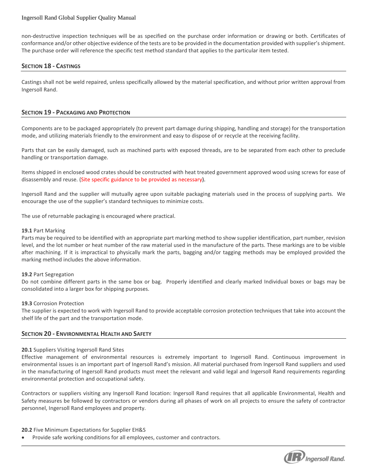non-destructive inspection techniques will be as specified on the purchase order information or drawing or both. Certificates of conformance and/or other objective evidence of the tests are to be provided in the documentation provided with supplier's shipment. The purchase order will reference the specific test method standard that applies to the particular item tested.

## **SECTION 18 - CASTINGS**

Castings shall not be weld repaired, unless specifically allowed by the material specification, and without prior written approval from Ingersoll Rand.

## **SECTION 19 - PACKAGING AND PROTECTION**

Components are to be packaged appropriately (to prevent part damage during shipping, handling and storage) for the transportation mode, and utilizing materials friendly to the environment and easy to dispose of or recycle at the receiving facility.

Parts that can be easily damaged, such as machined parts with exposed threads, are to be separated from each other to preclude handling or transportation damage.

Items shipped in enclosed wood crates should be constructed with heat treated government approved wood using screws for ease of disassembly and reuse. (Site specific guidance to be provided as necessary).

Ingersoll Rand and the supplier will mutually agree upon suitable packaging materials used in the process of supplying parts. We encourage the use of the supplier's standard techniques to minimize costs.

The use of returnable packaging is encouraged where practical.

#### **19.1** Part Marking

Parts may be required to be identified with an appropriate part marking method to show supplier identification, part number, revision level, and the lot number or heat number of the raw material used in the manufacture of the parts. These markings are to be visible after machining. If it is impractical to physically mark the parts, bagging and/or tagging methods may be employed provided the marking method includes the above information.

#### **19.2** Part Segregation

Do not combine different parts in the same box or bag. Properly identified and clearly marked Individual boxes or bags may be consolidated into a larger box for shipping purposes.

#### **19.3** Corrosion Protection

The supplier is expected to work with Ingersoll Rand to provide acceptable corrosion protection techniques that take into account the shelf life of the part and the transportation mode.

## **SECTION 20 - ENVIRONMENTAL HEALTH AND SAFETY**

#### **20.1** Suppliers Visiting Ingersoll Rand Sites

Effective management of environmental resources is extremely important to Ingersoll Rand. Continuous improvement in environmental issues is an important part of Ingersoll Rand's mission. All material purchased from Ingersoll Rand suppliers and used in the manufacturing of Ingersoll Rand products must meet the relevant and valid legal and Ingersoll Rand requirements regarding environmental protection and occupational safety.

Contractors or suppliers visiting any Ingersoll Rand location: Ingersoll Rand requires that all applicable Environmental, Health and Safety measures be followed by contractors or vendors during all phases of work on all projects to ensure the safety of contractor personnel, Ingersoll Rand employees and property.

**20.2** Five Minimum Expectations for Supplier EH&S

Provide safe working conditions for all employees, customer and contractors.

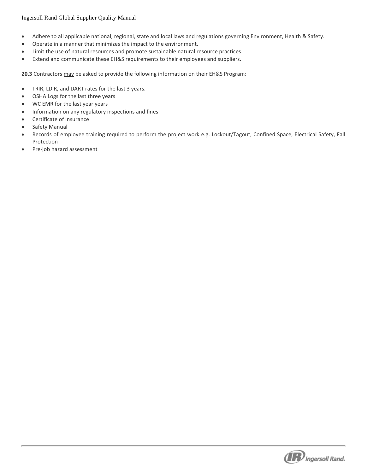- Adhere to all applicable national, regional, state and local laws and regulations governing Environment, Health & Safety.
- Operate in a manner that minimizes the impact to the environment.
- Limit the use of natural resources and promote sustainable natural resource practices.
- Extend and communicate these EH&S requirements to their employees and suppliers.

**20.3** Contractors may be asked to provide the following information on their EH&S Program:

- TRIR, LDIR, and DART rates for the last 3 years.
- OSHA Logs for the last three years
- WC EMR for the last year years
- Information on any regulatory inspections and fines
- Certificate of Insurance
- **•** Safety Manual
- Records of employee training required to perform the project work e.g. Lockout/Tagout, Confined Space, Electrical Safety, Fall Protection
- Pre-job hazard assessment